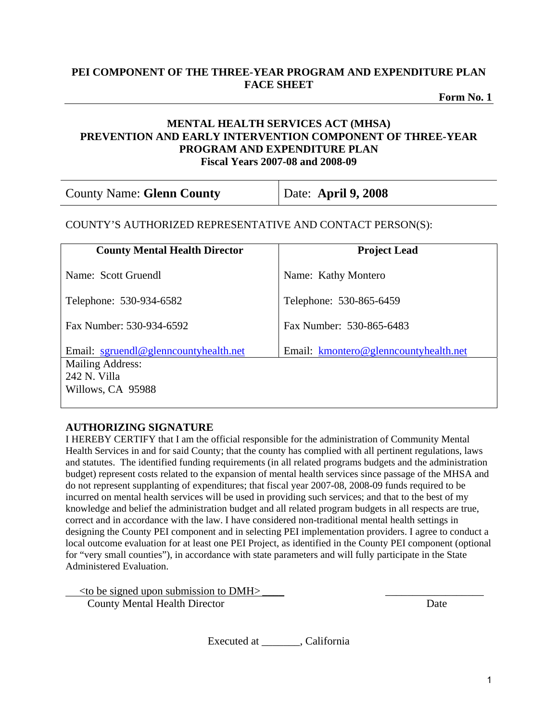# **PEI COMPONENT OF THE THREE-YEAR PROGRAM AND EXPENDITURE PLAN FACE SHEET**

**Form No. 1** 

## **MENTAL HEALTH SERVICES ACT (MHSA) PREVENTION AND EARLY INTERVENTION COMPONENT OF THREE-YEAR PROGRAM AND EXPENDITURE PLAN Fiscal Years 2007-08 and 2008-09**

| <b>County Name: Glenn County</b> | Date: April $9,2008$ |
|----------------------------------|----------------------|
|----------------------------------|----------------------|

#### COUNTY'S AUTHORIZED REPRESENTATIVE AND CONTACT PERSON(S):

| <b>County Mental Health Director</b>                                                                  | <b>Project Lead</b>                   |
|-------------------------------------------------------------------------------------------------------|---------------------------------------|
| Name: Scott Gruendl                                                                                   | Name: Kathy Montero                   |
| Telephone: 530-934-6582                                                                               | Telephone: 530-865-6459               |
| Fax Number: 530-934-6592                                                                              | Fax Number: 530-865-6483              |
| Email: sgruendl@glenncountyhealth.net<br><b>Mailing Address:</b><br>242 N. Villa<br>Willows, CA 95988 | Email: kmontero@glenncountyhealth.net |

# **AUTHORIZING SIGNATURE**

I HEREBY CERTIFY that I am the official responsible for the administration of Community Mental Health Services in and for said County; that the county has complied with all pertinent regulations, laws and statutes. The identified funding requirements (in all related programs budgets and the administration budget) represent costs related to the expansion of mental health services since passage of the MHSA and do not represent supplanting of expenditures; that fiscal year 2007-08, 2008-09 funds required to be incurred on mental health services will be used in providing such services; and that to the best of my knowledge and belief the administration budget and all related program budgets in all respects are true, correct and in accordance with the law. I have considered non-traditional mental health settings in designing the County PEI component and in selecting PEI implementation providers. I agree to conduct a local outcome evaluation for at least one PEI Project, as identified in the County PEI component (optional for "very small counties"), in accordance with state parameters and will fully participate in the State Administered Evaluation.

 $\le$  to be signed upon submission to DMH $>$ **County Mental Health Director** Date

Executed at \_\_\_\_\_\_\_, California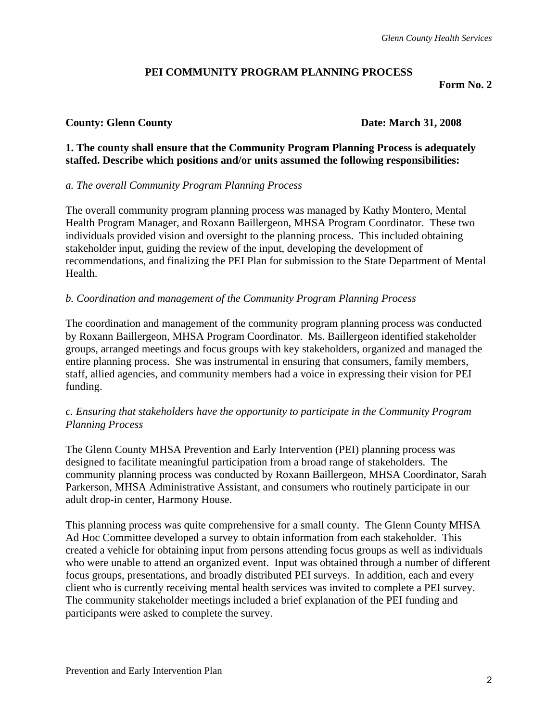# **PEI COMMUNITY PROGRAM PLANNING PROCESS**

**Form No. 2** 

# **County: Glenn County Date: March 31, 2008**

## **1. The county shall ensure that the Community Program Planning Process is adequately staffed. Describe which positions and/or units assumed the following responsibilities:**

# *a. The overall Community Program Planning Process*

The overall community program planning process was managed by Kathy Montero, Mental Health Program Manager, and Roxann Baillergeon, MHSA Program Coordinator. These two individuals provided vision and oversight to the planning process. This included obtaining stakeholder input, guiding the review of the input, developing the development of recommendations, and finalizing the PEI Plan for submission to the State Department of Mental Health.

# *b. Coordination and management of the Community Program Planning Process*

The coordination and management of the community program planning process was conducted by Roxann Baillergeon, MHSA Program Coordinator. Ms. Baillergeon identified stakeholder groups, arranged meetings and focus groups with key stakeholders, organized and managed the entire planning process. She was instrumental in ensuring that consumers, family members, staff, allied agencies, and community members had a voice in expressing their vision for PEI funding.

# *c. Ensuring that stakeholders have the opportunity to participate in the Community Program Planning Process*

The Glenn County MHSA Prevention and Early Intervention (PEI) planning process was designed to facilitate meaningful participation from a broad range of stakeholders. The community planning process was conducted by Roxann Baillergeon, MHSA Coordinator, Sarah Parkerson, MHSA Administrative Assistant, and consumers who routinely participate in our adult drop-in center, Harmony House.

This planning process was quite comprehensive for a small county. The Glenn County MHSA Ad Hoc Committee developed a survey to obtain information from each stakeholder. This created a vehicle for obtaining input from persons attending focus groups as well as individuals who were unable to attend an organized event. Input was obtained through a number of different focus groups, presentations, and broadly distributed PEI surveys. In addition, each and every client who is currently receiving mental health services was invited to complete a PEI survey. The community stakeholder meetings included a brief explanation of the PEI funding and participants were asked to complete the survey.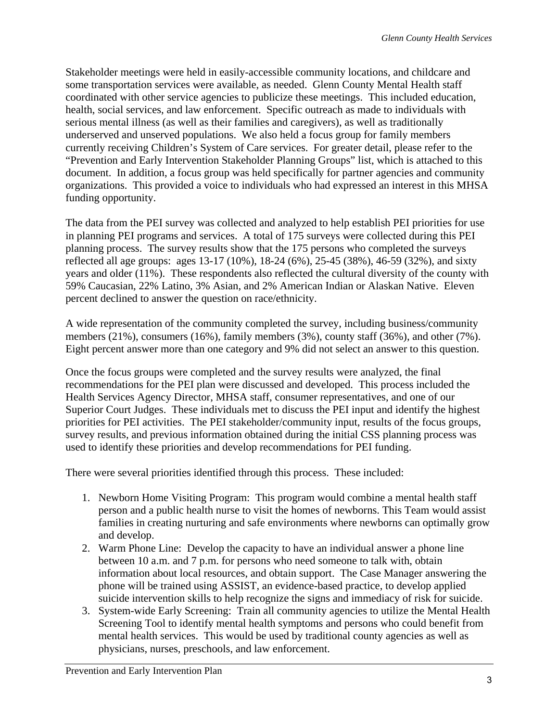Stakeholder meetings were held in easily-accessible community locations, and childcare and some transportation services were available, as needed. Glenn County Mental Health staff coordinated with other service agencies to publicize these meetings. This included education, health, social services, and law enforcement. Specific outreach as made to individuals with serious mental illness (as well as their families and caregivers), as well as traditionally underserved and unserved populations. We also held a focus group for family members currently receiving Children's System of Care services. For greater detail, please refer to the "Prevention and Early Intervention Stakeholder Planning Groups" list, which is attached to this document. In addition, a focus group was held specifically for partner agencies and community organizations. This provided a voice to individuals who had expressed an interest in this MHSA funding opportunity.

The data from the PEI survey was collected and analyzed to help establish PEI priorities for use in planning PEI programs and services. A total of 175 surveys were collected during this PEI planning process. The survey results show that the 175 persons who completed the surveys reflected all age groups: ages 13-17 (10%), 18-24 (6%), 25-45 (38%), 46-59 (32%), and sixty years and older (11%). These respondents also reflected the cultural diversity of the county with 59% Caucasian, 22% Latino, 3% Asian, and 2% American Indian or Alaskan Native. Eleven percent declined to answer the question on race/ethnicity.

A wide representation of the community completed the survey, including business/community members (21%), consumers (16%), family members (3%), county staff (36%), and other (7%). Eight percent answer more than one category and 9% did not select an answer to this question.

Once the focus groups were completed and the survey results were analyzed, the final recommendations for the PEI plan were discussed and developed. This process included the Health Services Agency Director, MHSA staff, consumer representatives, and one of our Superior Court Judges. These individuals met to discuss the PEI input and identify the highest priorities for PEI activities. The PEI stakeholder/community input, results of the focus groups, survey results, and previous information obtained during the initial CSS planning process was used to identify these priorities and develop recommendations for PEI funding.

There were several priorities identified through this process. These included:

- 1. Newborn Home Visiting Program: This program would combine a mental health staff person and a public health nurse to visit the homes of newborns. This Team would assist families in creating nurturing and safe environments where newborns can optimally grow and develop.
- 2. Warm Phone Line: Develop the capacity to have an individual answer a phone line between 10 a.m. and 7 p.m. for persons who need someone to talk with, obtain information about local resources, and obtain support. The Case Manager answering the phone will be trained using ASSIST, an evidence-based practice, to develop applied suicide intervention skills to help recognize the signs and immediacy of risk for suicide.
- 3. System-wide Early Screening: Train all community agencies to utilize the Mental Health Screening Tool to identify mental health symptoms and persons who could benefit from mental health services. This would be used by traditional county agencies as well as physicians, nurses, preschools, and law enforcement.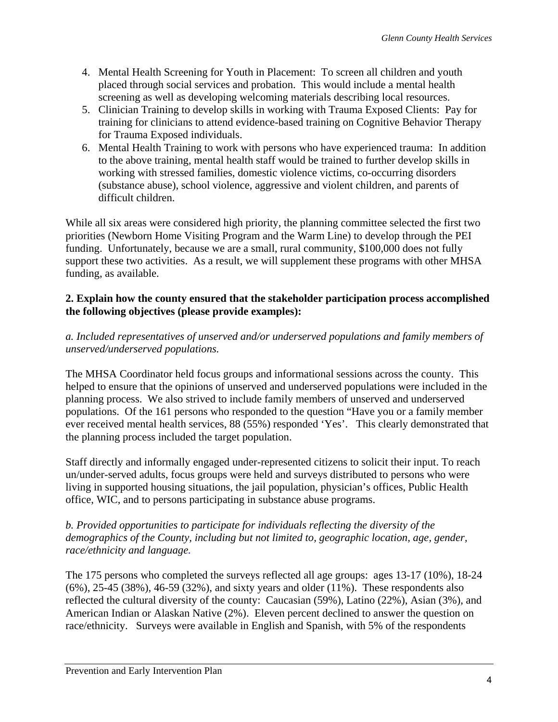- 4. Mental Health Screening for Youth in Placement: To screen all children and youth placed through social services and probation. This would include a mental health screening as well as developing welcoming materials describing local resources.
- 5. Clinician Training to develop skills in working with Trauma Exposed Clients: Pay for training for clinicians to attend evidence-based training on Cognitive Behavior Therapy for Trauma Exposed individuals.
- 6. Mental Health Training to work with persons who have experienced trauma: In addition to the above training, mental health staff would be trained to further develop skills in working with stressed families, domestic violence victims, co-occurring disorders (substance abuse), school violence, aggressive and violent children, and parents of difficult children.

While all six areas were considered high priority, the planning committee selected the first two priorities (Newborn Home Visiting Program and the Warm Line) to develop through the PEI funding. Unfortunately, because we are a small, rural community, \$100,000 does not fully support these two activities. As a result, we will supplement these programs with other MHSA funding, as available.

# **2. Explain how the county ensured that the stakeholder participation process accomplished the following objectives (please provide examples):**

# *a. Included representatives of unserved and/or underserved populations and family members of unserved/underserved populations.*

The MHSA Coordinator held focus groups and informational sessions across the county. This helped to ensure that the opinions of unserved and underserved populations were included in the planning process. We also strived to include family members of unserved and underserved populations. Of the 161 persons who responded to the question "Have you or a family member ever received mental health services, 88 (55%) responded 'Yes'. This clearly demonstrated that the planning process included the target population.

Staff directly and informally engaged under-represented citizens to solicit their input. To reach un/under-served adults, focus groups were held and surveys distributed to persons who were living in supported housing situations, the jail population, physician's offices, Public Health office, WIC, and to persons participating in substance abuse programs.

# *b. Provided opportunities to participate for individuals reflecting the diversity of the demographics of the County, including but not limited to, geographic location, age, gender, race/ethnicity and language.*

The 175 persons who completed the surveys reflected all age groups: ages 13-17 (10%), 18-24 (6%), 25-45 (38%), 46-59 (32%), and sixty years and older (11%). These respondents also reflected the cultural diversity of the county: Caucasian (59%), Latino (22%), Asian (3%), and American Indian or Alaskan Native (2%). Eleven percent declined to answer the question on race/ethnicity. Surveys were available in English and Spanish, with 5% of the respondents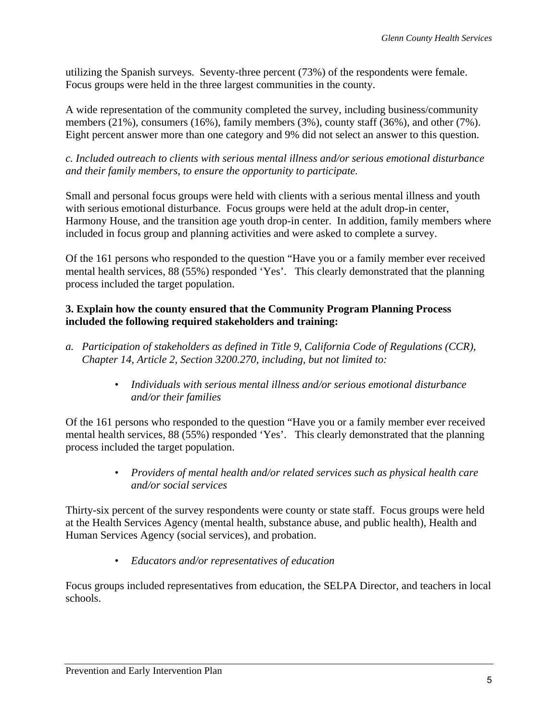utilizing the Spanish surveys. Seventy-three percent (73%) of the respondents were female. Focus groups were held in the three largest communities in the county.

A wide representation of the community completed the survey, including business/community members (21%), consumers (16%), family members (3%), county staff (36%), and other (7%). Eight percent answer more than one category and 9% did not select an answer to this question.

*c. Included outreach to clients with serious mental illness and/or serious emotional disturbance and their family members, to ensure the opportunity to participate.* 

Small and personal focus groups were held with clients with a serious mental illness and youth with serious emotional disturbance. Focus groups were held at the adult drop-in center, Harmony House, and the transition age youth drop-in center. In addition, family members where included in focus group and planning activities and were asked to complete a survey.

Of the 161 persons who responded to the question "Have you or a family member ever received mental health services, 88 (55%) responded 'Yes'. This clearly demonstrated that the planning process included the target population.

# **3. Explain how the county ensured that the Community Program Planning Process included the following required stakeholders and training:**

- *a. Participation of stakeholders as defined in Title 9, California Code of Regulations (CCR), Chapter 14, Article 2, Section 3200.270, including, but not limited to:* 
	- *Individuals with serious mental illness and/or serious emotional disturbance and/or their families*

Of the 161 persons who responded to the question "Have you or a family member ever received mental health services, 88 (55%) responded 'Yes'. This clearly demonstrated that the planning process included the target population.

> • *Providers of mental health and/or related services such as physical health care and/or social services*

Thirty-six percent of the survey respondents were county or state staff. Focus groups were held at the Health Services Agency (mental health, substance abuse, and public health), Health and Human Services Agency (social services), and probation.

• *Educators and/or representatives of education* 

Focus groups included representatives from education, the SELPA Director, and teachers in local schools.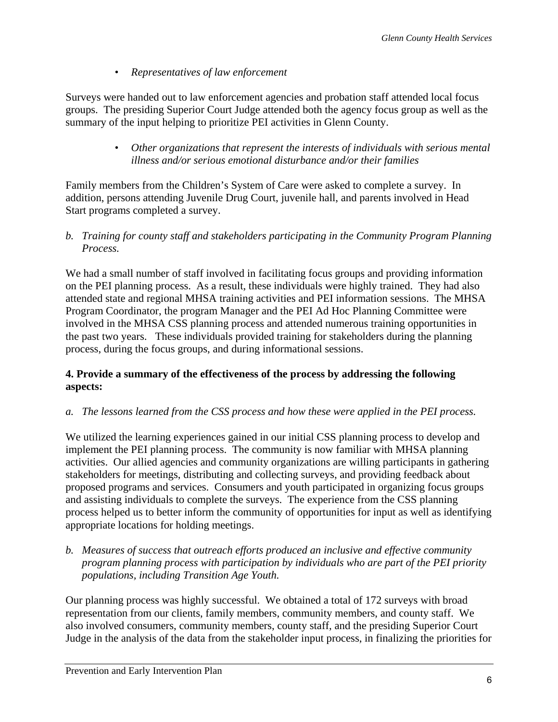• *Representatives of law enforcement* 

Surveys were handed out to law enforcement agencies and probation staff attended local focus groups. The presiding Superior Court Judge attended both the agency focus group as well as the summary of the input helping to prioritize PEI activities in Glenn County.

> • *Other organizations that represent the interests of individuals with serious mental illness and/or serious emotional disturbance and/or their families*

Family members from the Children's System of Care were asked to complete a survey. In addition, persons attending Juvenile Drug Court, juvenile hall, and parents involved in Head Start programs completed a survey.

*b. Training for county staff and stakeholders participating in the Community Program Planning Process.*

We had a small number of staff involved in facilitating focus groups and providing information on the PEI planning process. As a result, these individuals were highly trained. They had also attended state and regional MHSA training activities and PEI information sessions. The MHSA Program Coordinator, the program Manager and the PEI Ad Hoc Planning Committee were involved in the MHSA CSS planning process and attended numerous training opportunities in the past two years. These individuals provided training for stakeholders during the planning process, during the focus groups, and during informational sessions.

# **4. Provide a summary of the effectiveness of the process by addressing the following aspects:**

# *a. The lessons learned from the CSS process and how these were applied in the PEI process.*

We utilized the learning experiences gained in our initial CSS planning process to develop and implement the PEI planning process. The community is now familiar with MHSA planning activities. Our allied agencies and community organizations are willing participants in gathering stakeholders for meetings, distributing and collecting surveys, and providing feedback about proposed programs and services. Consumers and youth participated in organizing focus groups and assisting individuals to complete the surveys. The experience from the CSS planning process helped us to better inform the community of opportunities for input as well as identifying appropriate locations for holding meetings.

*b. Measures of success that outreach efforts produced an inclusive and effective community program planning process with participation by individuals who are part of the PEI priority populations, including Transition Age Youth.* 

Our planning process was highly successful. We obtained a total of 172 surveys with broad representation from our clients, family members, community members, and county staff. We also involved consumers, community members, county staff, and the presiding Superior Court Judge in the analysis of the data from the stakeholder input process, in finalizing the priorities for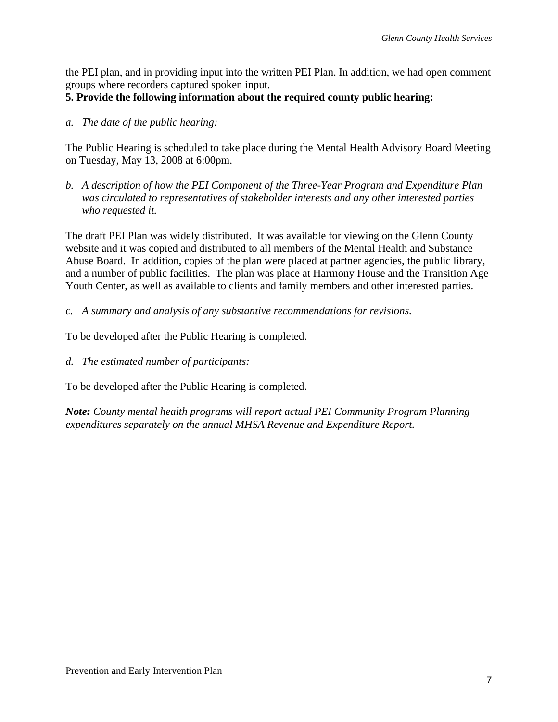the PEI plan, and in providing input into the written PEI Plan. In addition, we had open comment groups where recorders captured spoken input.

# **5. Provide the following information about the required county public hearing:**

*a. The date of the public hearing:* 

The Public Hearing is scheduled to take place during the Mental Health Advisory Board Meeting on Tuesday, May 13, 2008 at 6:00pm.

*b. A description of how the PEI Component of the Three-Year Program and Expenditure Plan was circulated to representatives of stakeholder interests and any other interested parties who requested it.* 

The draft PEI Plan was widely distributed. It was available for viewing on the Glenn County website and it was copied and distributed to all members of the Mental Health and Substance Abuse Board. In addition, copies of the plan were placed at partner agencies, the public library, and a number of public facilities. The plan was place at Harmony House and the Transition Age Youth Center, as well as available to clients and family members and other interested parties.

*c. A summary and analysis of any substantive recommendations for revisions.* 

To be developed after the Public Hearing is completed.

*d. The estimated number of participants:* 

To be developed after the Public Hearing is completed.

*Note: County mental health programs will report actual PEI Community Program Planning expenditures separately on the annual MHSA Revenue and Expenditure Report.*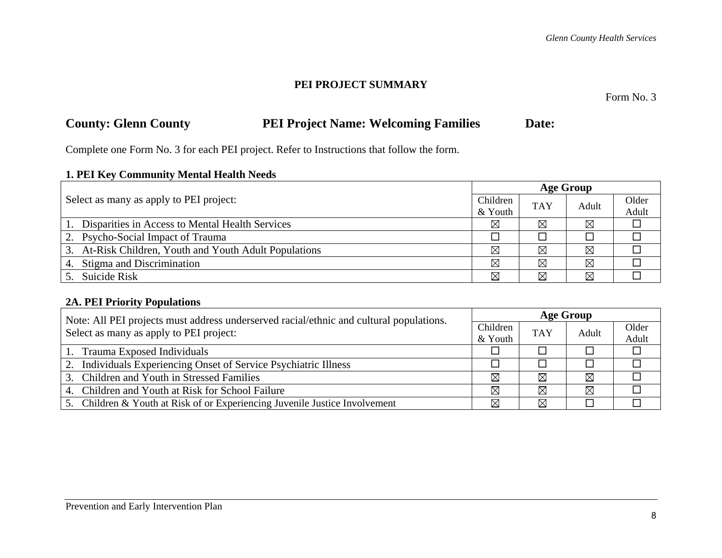#### **PEI PROJECT SUMMARY**

Form No. 3

# **County: Glenn County 6. PEI Project Name: Welcoming Families 6. Date:**

Complete one Form No. 3 for each PEI project. Refer to Instructions that follow the form.

# **1. PEI Key Community Mental Health Needs**

|                                                        |          | <b>Age Group</b> |       |       |  |  |
|--------------------------------------------------------|----------|------------------|-------|-------|--|--|
| Select as many as apply to PEI project:                | Children | <b>TAY</b>       | Adult | Older |  |  |
| & Youth                                                |          |                  |       | Adult |  |  |
| Disparities in Access to Mental Health Services        | ⊠        | ⊠                | ⊠     |       |  |  |
| 2. Psycho-Social Impact of Trauma                      |          |                  |       |       |  |  |
| 3. At-Risk Children, Youth and Youth Adult Populations | ⊠        | ⊠                | ⊠     |       |  |  |
| 4. Stigma and Discrimination                           | ⊠        | ⊠                | ⊠     |       |  |  |
| 5. Suicide Risk                                        | ⊠        | ⊠                | ⊠     |       |  |  |

# **2A. PEI Priority Populations**

| Note: All PEI projects must address underserved racial/ethnic and cultural populations. |             | <b>Age Group</b> |             |       |  |
|-----------------------------------------------------------------------------------------|-------------|------------------|-------------|-------|--|
| Select as many as apply to PEI project:                                                 | Children    | <b>TAY</b>       | Adult       | Older |  |
|                                                                                         | & Youth     |                  |             | Adult |  |
| 1. Trauma Exposed Individuals                                                           |             |                  |             |       |  |
| 2. Individuals Experiencing Onset of Service Psychiatric Illness                        |             |                  |             |       |  |
| 3. Children and Youth in Stressed Families                                              | ⊠           | ⊠                | $\boxtimes$ |       |  |
| 4. Children and Youth at Risk for School Failure                                        | ⊠           | ⊠                | $\boxtimes$ |       |  |
| 5. Children & Youth at Risk of or Experiencing Juvenile Justice Involvement             | $\boxtimes$ | ⊠                |             |       |  |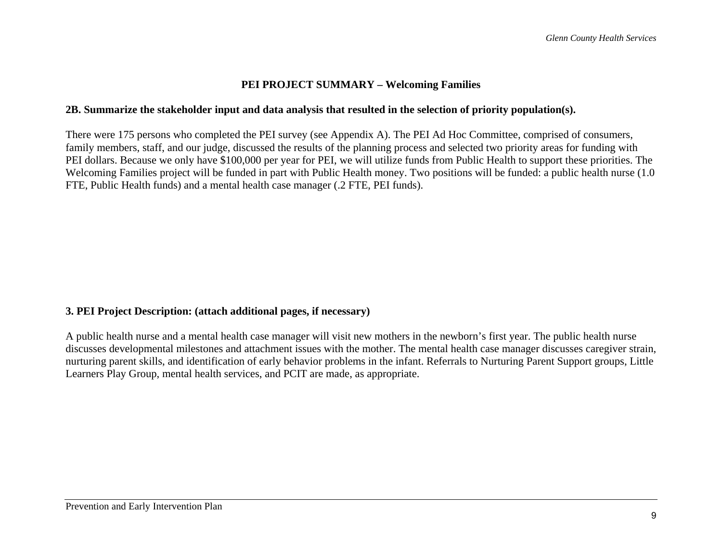#### **PEI PROJECT SUMMARY – Welcoming Families**

#### **2B. Summarize the stakeholder input and data analysis that resulted in the selection of priority population(s).**

There were 175 persons who completed the PEI survey (see Appendix A). The PEI Ad Hoc Committee, comprised of consumers, family members, staff, and our judge, discussed the results of the planning process and selected two priority areas for funding with PEI dollars. Because we only have \$100,000 per year for PEI, we will utilize funds from Public Health to support these priorities. The Welcoming Families project will be funded in part with Public Health money. Two positions will be funded: a public health nurse (1.0 FTE, Public Health funds) and a mental health case manager (.2 FTE, PEI funds).

## **3. PEI Project Description: (attach additional pages, if necessary)**

A public health nurse and a mental health case manager will visit new mothers in the newborn's first year. The public health nurse discusses developmental milestones and attachment issues with the mother. The mental health case manager discusses caregiver strain, nurturing parent skills, and identification of early behavior problems in the infant. Referrals to Nurturing Parent Support groups, Little Learners Play Group, mental health services, and PCIT are made, as appropriate.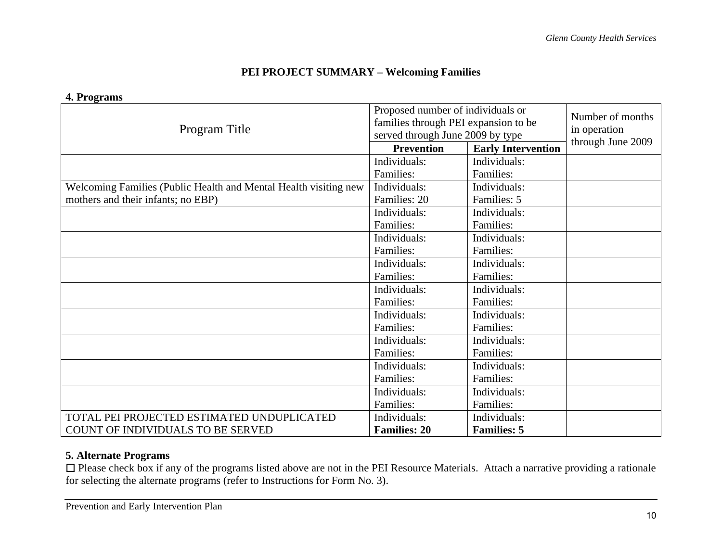# **PEI PROJECT SUMMARY – Welcoming Families**

#### **4. Programs**

| Program Title                                                    | Proposed number of individuals or<br>families through PEI expansion to be<br>served through June 2009 by type | Number of months<br>in operation<br>through June 2009 |  |
|------------------------------------------------------------------|---------------------------------------------------------------------------------------------------------------|-------------------------------------------------------|--|
|                                                                  | <b>Prevention</b>                                                                                             | <b>Early Intervention</b>                             |  |
|                                                                  | Individuals:                                                                                                  | Individuals:                                          |  |
|                                                                  | Families:                                                                                                     | Families:                                             |  |
| Welcoming Families (Public Health and Mental Health visiting new | Individuals:                                                                                                  | Individuals:                                          |  |
| mothers and their infants; no EBP)                               | Families: 20                                                                                                  | Families: 5                                           |  |
|                                                                  | Individuals:                                                                                                  | Individuals:                                          |  |
|                                                                  | Families:                                                                                                     | Families:                                             |  |
|                                                                  | Individuals:                                                                                                  | Individuals:                                          |  |
|                                                                  | Families:                                                                                                     | Families:                                             |  |
|                                                                  | Individuals:                                                                                                  | Individuals:                                          |  |
|                                                                  | Families:                                                                                                     | Families:                                             |  |
|                                                                  | Individuals:                                                                                                  | Individuals:                                          |  |
|                                                                  | Families:                                                                                                     | Families:                                             |  |
|                                                                  | Individuals:                                                                                                  | Individuals:                                          |  |
|                                                                  | Families:                                                                                                     | Families:                                             |  |
|                                                                  | Individuals:                                                                                                  | Individuals:                                          |  |
|                                                                  | Families:                                                                                                     | Families:                                             |  |
|                                                                  | Individuals:                                                                                                  | Individuals:                                          |  |
|                                                                  | Families:                                                                                                     | Families:                                             |  |
|                                                                  | Individuals:                                                                                                  | Individuals:                                          |  |
|                                                                  | Families:                                                                                                     | Families:                                             |  |
| TOTAL PEI PROJECTED ESTIMATED UNDUPLICATED                       | Individuals:                                                                                                  | Individuals:                                          |  |
| COUNT OF INDIVIDUALS TO BE SERVED                                | <b>Families: 20</b>                                                                                           | <b>Families: 5</b>                                    |  |

## **5. Alternate Programs**

□ Please check box if any of the programs listed above are not in the PEI Resource Materials. Attach a narrative providing a rationale for selecting the alternate programs (refer to Instructions for Form No. 3).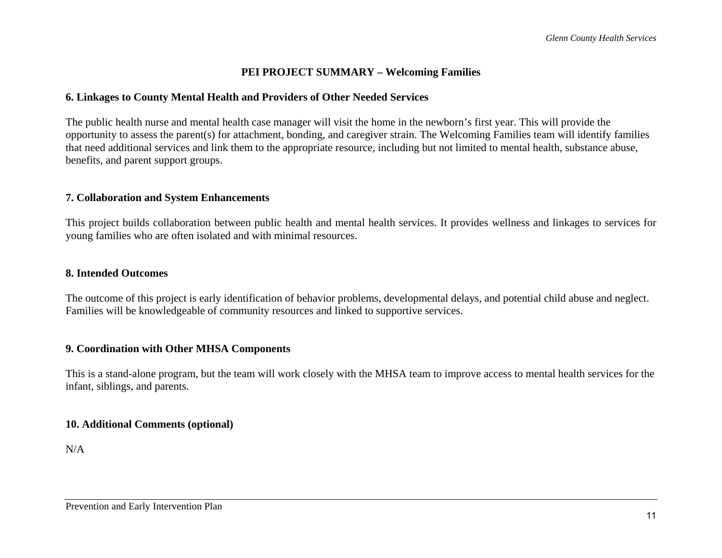# **PEI PROJECT SUMMARY – Welcoming Families**

#### **6. Linkages to County Mental Health and Providers of Other Needed Services**

The public health nurse and mental health case manager will visit the home in the newborn's first year. This will provide the opportunity to assess the parent(s) for attachment, bonding, and caregiver strain. The Welcoming Families team will identify families that need additional services and link them to the appropriate resource, including but not limited to mental health, substance abuse, benefits, and parent support groups.

#### **7. Collaboration and System Enhancements**

This project builds collaboration between public health and mental health services. It provides wellness and linkages to services for young families who are often isolated and with minimal resources.

#### **8. Intended Outcomes**

The outcome of this project is early identification of behavior problems, developmental delays, and potential child abuse and neglect. Families will be knowledgeable of community resources and linked to supportive services.

#### **9. Coordination with Other MHSA Components**

This is a stand-alone program, but the team will work closely with the MHSA team to improve access to mental health services for the infant, siblings, and parents.

#### **10. Additional Comments (optional)**

N/A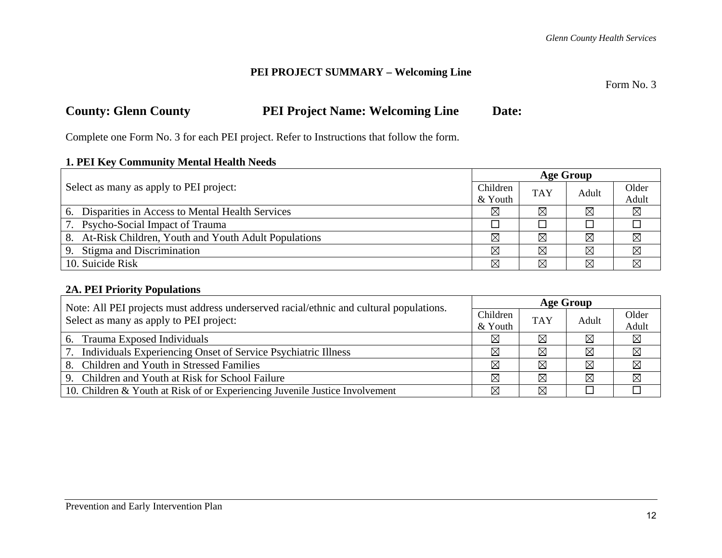Form No. 3

# **County: Glenn County PEI Project Name: Welcoming Line Date:**

Complete one Form No. 3 for each PEI project. Refer to Instructions that follow the form.

#### **1. PEI Key Community Mental Health Needs**

|                                                        |          | <b>Age Group</b> |             |             |  |
|--------------------------------------------------------|----------|------------------|-------------|-------------|--|
| Select as many as apply to PEI project:                | Children | <b>TAY</b>       | Adult       | Older       |  |
| & Youth                                                |          |                  |             | Adult       |  |
| 6. Disparities in Access to Mental Health Services     | ⊠        | $\boxtimes$      | $\boxtimes$ | $\boxtimes$ |  |
| 7. Psycho-Social Impact of Trauma                      |          |                  |             |             |  |
| 8. At-Risk Children, Youth and Youth Adult Populations | ⊠        | $\boxtimes$      | $\boxtimes$ | $\boxtimes$ |  |
| 9. Stigma and Discrimination                           | ⊠        | ⊠                | ⊠           | ⊠           |  |
| 10. Suicide Risk                                       | ⊠        | $\boxtimes$      | $\boxtimes$ | ⊠           |  |

# **2A. PEI Priority Populations**

| Note: All PEI projects must address underserved racial/ethnic and cultural populations. |             | <b>Age Group</b> |       |             |  |
|-----------------------------------------------------------------------------------------|-------------|------------------|-------|-------------|--|
| Select as many as apply to PEI project:                                                 | Children    | <b>TAY</b>       | Adult | Older       |  |
|                                                                                         | & Youth     |                  |       | Adult       |  |
| 6. Trauma Exposed Individuals                                                           | $\boxtimes$ | ⊠                | ⊠     | $\boxtimes$ |  |
| 7. Individuals Experiencing Onset of Service Psychiatric Illness                        | ⊠           | ⊠                | ⊠     | $\boxtimes$ |  |
| 8. Children and Youth in Stressed Families                                              | $\boxtimes$ | ⊠                | ⊠     | $\boxtimes$ |  |
| 9. Children and Youth at Risk for School Failure                                        | $\boxtimes$ | $\boxtimes$      | ⊠     | $\boxtimes$ |  |
| 10. Children & Youth at Risk of or Experiencing Juvenile Justice Involvement            | ⊠           | ⊠                |       |             |  |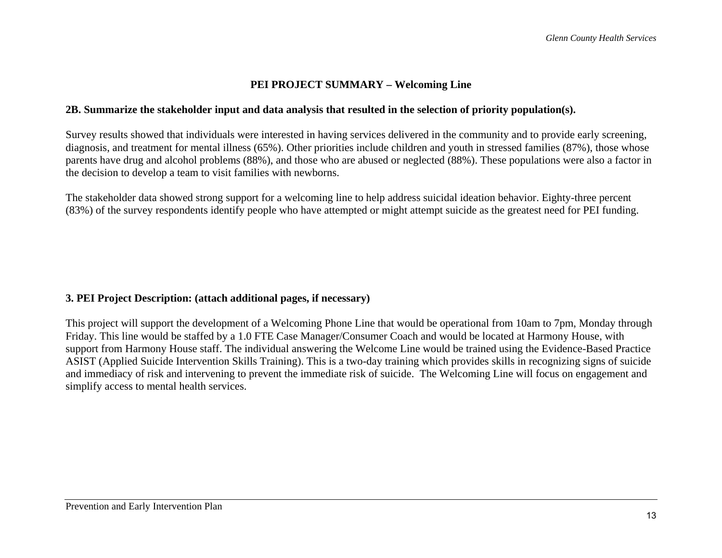#### **2B. Summarize the stakeholder input and data analysis that resulted in the selection of priority population(s).**

Survey results showed that individuals were interested in having services delivered in the community and to provide early screening, diagnosis, and treatment for mental illness (65%). Other priorities include children and youth in stressed families (87%), those whose parents have drug and alcohol problems (88%), and those who are abused or neglected (88%). These populations were also a factor in the decision to develop a team to visit families with newborns.

The stakeholder data showed strong support for a welcoming line to help address suicidal ideation behavior. Eighty-three percent (83%) of the survey respondents identify people who have attempted or might attempt suicide as the greatest need for PEI funding.

## **3. PEI Project Description: (attach additional pages, if necessary)**

This project will support the development of a Welcoming Phone Line that would be operational from 10am to 7pm, Monday through Friday. This line would be staffed by a 1.0 FTE Case Manager/Consumer Coach and would be located at Harmony House, with support from Harmony House staff. The individual answering the Welcome Line would be trained using the Evidence-Based Practice ASIST (Applied Suicide Intervention Skills Training). This is a two-day training which provides skills in recognizing signs of suicide and immediacy of risk and intervening to prevent the immediate risk of suicide. The Welcoming Line will focus on engagement and simplify access to mental health services.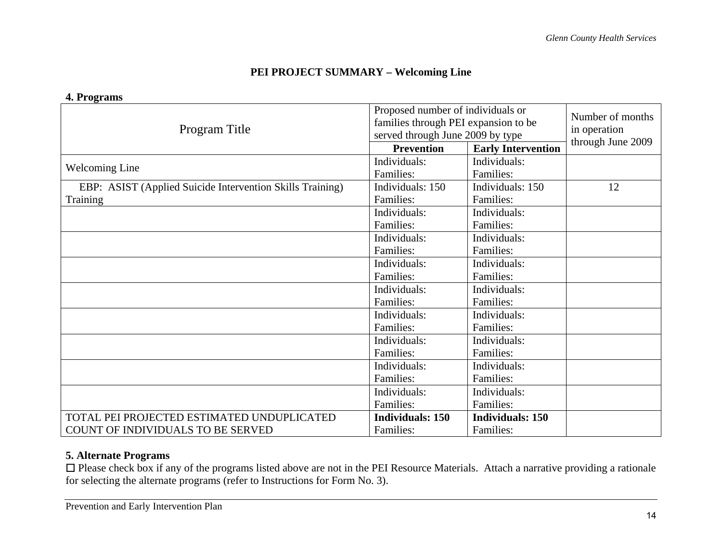|                                                           | Proposed number of individuals or    | Number of months<br>in operation |    |
|-----------------------------------------------------------|--------------------------------------|----------------------------------|----|
| Program Title                                             | families through PEI expansion to be |                                  |    |
|                                                           | served through June 2009 by type     | through June 2009                |    |
|                                                           | <b>Prevention</b>                    | <b>Early Intervention</b>        |    |
| <b>Welcoming Line</b>                                     | Individuals:                         | Individuals:                     |    |
|                                                           | Families:                            | Families:                        |    |
| EBP: ASIST (Applied Suicide Intervention Skills Training) | Individuals: 150                     | Individuals: 150                 | 12 |
| <b>Training</b>                                           | Families:                            | Families:                        |    |
|                                                           | Individuals:                         | Individuals:                     |    |
|                                                           | Families:                            | Families:                        |    |
|                                                           | Individuals:                         | Individuals:                     |    |
|                                                           | Families:                            | Families:                        |    |
|                                                           | Individuals:                         | Individuals:                     |    |
|                                                           | Families:                            | Families:                        |    |
|                                                           | Individuals:                         | Individuals:                     |    |
|                                                           | Families:                            | Families:                        |    |
|                                                           | Individuals:                         | Individuals:                     |    |
|                                                           | Families:                            | Families:                        |    |
|                                                           | Individuals:                         | Individuals:                     |    |
|                                                           | Families:                            | Families:                        |    |
|                                                           | Individuals:                         | Individuals:                     |    |
|                                                           | Families:                            | Families:                        |    |
|                                                           | Individuals:                         | Individuals:                     |    |
|                                                           | Families:                            | Families:                        |    |
| TOTAL PEI PROJECTED ESTIMATED UNDUPLICATED                | <b>Individuals: 150</b>              | <b>Individuals: 150</b>          |    |
| COUNT OF INDIVIDUALS TO BE SERVED                         | Families:                            | Families:                        |    |

#### **4. Programs**

# **5. Alternate Programs**

□ Please check box if any of the programs listed above are not in the PEI Resource Materials. Attach a narrative providing a rationale for selecting the alternate programs (refer to Instructions for Form No. 3).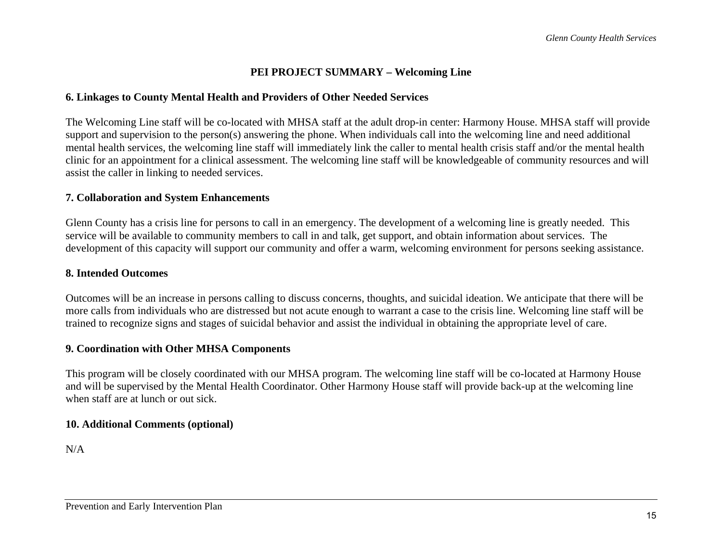#### **6. Linkages to County Mental Health and Providers of Other Needed Services**

The Welcoming Line staff will be co-located with MHSA staff at the adult drop-in center: Harmony House. MHSA staff will provide support and supervision to the person(s) answering the phone. When individuals call into the welcoming line and need additional mental health services, the welcoming line staff will immediately link the caller to mental health crisis staff and/or the mental health clinic for an appointment for a clinical assessment. The welcoming line staff will be knowledgeable of community resources and will assist the caller in linking to needed services.

#### **7. Collaboration and System Enhancements**

Glenn County has a crisis line for persons to call in an emergency. The development of a welcoming line is greatly needed. This service will be available to community members to call in and talk, get support, and obtain information about services. The development of this capacity will support our community and offer a warm, welcoming environment for persons seeking assistance.

#### **8. Intended Outcomes**

Outcomes will be an increase in persons calling to discuss concerns, thoughts, and suicidal ideation. We anticipate that there will be more calls from individuals who are distressed but not acute enough to warrant a case to the crisis line. Welcoming line staff will be trained to recognize signs and stages of suicidal behavior and assist the individual in obtaining the appropriate level of care.

## **9. Coordination with Other MHSA Components**

This program will be closely coordinated with our MHSA program. The welcoming line staff will be co-located at Harmony House and will be supervised by the Mental Health Coordinator. Other Harmony House staff will provide back-up at the welcoming line when staff are at lunch or out sick.

## **10. Additional Comments (optional)**

N/A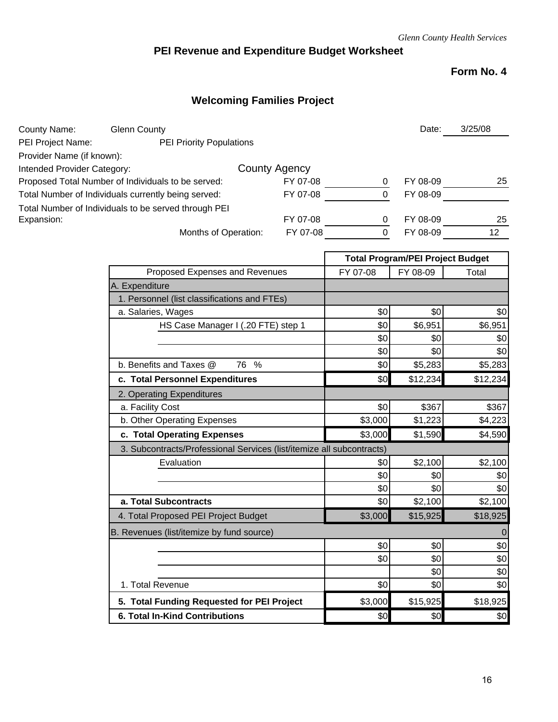# **PEI Revenue and Expenditure Budget Worksheet**

# **Form No. 4**

# **Welcoming Families Project**

| County Name:                | <b>Glenn County</b>                                  |               |   | Date:    | 3/25/08 |
|-----------------------------|------------------------------------------------------|---------------|---|----------|---------|
| PEI Project Name:           | <b>PEI Priority Populations</b>                      |               |   |          |         |
| Provider Name (if known):   |                                                      |               |   |          |         |
| Intended Provider Category: |                                                      | County Agency |   |          |         |
|                             | Proposed Total Number of Individuals to be served:   | FY 07-08      | 0 | FY 08-09 | 25      |
|                             | Total Number of Individuals currently being served:  | FY 07-08      | 0 | FY 08-09 |         |
|                             | Total Number of Individuals to be served through PEI |               |   |          |         |
| Expansion:                  |                                                      | FY 07-08      | 0 | FY 08-09 | 25      |
|                             | Months of Operation:                                 | FY 07-08      | 0 | FY 08-09 | 12      |
|                             |                                                      |               |   |          |         |

|                                                                       | <b>Total Program/PEI Project Budget</b> |          |          |  |
|-----------------------------------------------------------------------|-----------------------------------------|----------|----------|--|
| Proposed Expenses and Revenues                                        | FY 07-08                                | FY 08-09 | Total    |  |
| A. Expenditure                                                        |                                         |          |          |  |
| 1. Personnel (list classifications and FTEs)                          |                                         |          |          |  |
| a. Salaries, Wages                                                    | \$0                                     | \$0      | \$0      |  |
| HS Case Manager I (.20 FTE) step 1                                    | \$0                                     | \$6,951  | \$6,951  |  |
|                                                                       | \$0                                     | \$0      | \$0      |  |
|                                                                       | \$0                                     | \$0      | \$0      |  |
| b. Benefits and Taxes @<br>76<br>$\%$                                 | \$0                                     | \$5,283  | \$5,283  |  |
| c. Total Personnel Expenditures                                       | \$0                                     | \$12,234 | \$12,234 |  |
| 2. Operating Expenditures                                             |                                         |          |          |  |
| a. Facility Cost                                                      | \$0                                     | \$367    | \$367    |  |
| b. Other Operating Expenses                                           | \$3,000                                 | \$1,223  | \$4,223  |  |
| c. Total Operating Expenses                                           | \$3,000                                 | \$1,590  | \$4,590  |  |
| 3. Subcontracts/Professional Services (list/itemize all subcontracts) |                                         |          |          |  |
| Evaluation                                                            | \$0                                     | \$2,100  | \$2,100  |  |
|                                                                       | \$0                                     | \$0      | \$0      |  |
|                                                                       | \$0                                     | \$0      | \$0      |  |
| a. Total Subcontracts                                                 | \$0                                     | \$2,100  | \$2,100  |  |
| 4. Total Proposed PEI Project Budget                                  | \$3,000                                 | \$15,925 | \$18,925 |  |
| B. Revenues (list/itemize by fund source)                             |                                         |          | $\Omega$ |  |
|                                                                       | \$0                                     | \$0      | \$0      |  |
|                                                                       | \$0                                     | \$0      | \$0      |  |
|                                                                       |                                         | \$0      | \$0      |  |
| 1. Total Revenue                                                      | \$0                                     | \$0      | \$0      |  |
| 5. Total Funding Requested for PEI Project                            | \$3,000                                 | \$15,925 | \$18,925 |  |
| <b>6. Total In-Kind Contributions</b>                                 | \$0                                     | \$0      | \$0      |  |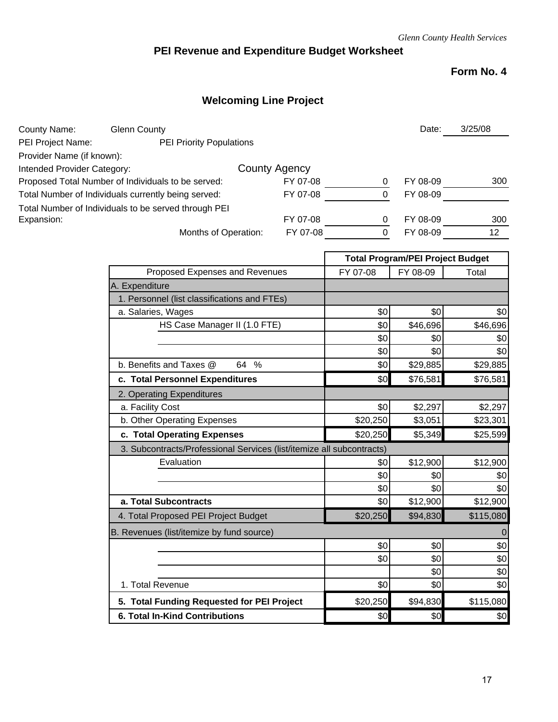# **PEI Revenue and Expenditure Budget Worksheet**

# **Form No. 4**

# **Welcoming Line Project**

| County Name:                | <b>Glenn County</b>                                  |                      |                     | Date:                                   | 3/25/08 |
|-----------------------------|------------------------------------------------------|----------------------|---------------------|-----------------------------------------|---------|
| PEI Project Name:           | <b>PEI Priority Populations</b>                      |                      |                     |                                         |         |
| Provider Name (if known):   |                                                      |                      |                     |                                         |         |
| Intended Provider Category: |                                                      | <b>County Agency</b> |                     |                                         |         |
|                             | Proposed Total Number of Individuals to be served:   | FY 07-08             | 0                   | FY 08-09                                | 300     |
|                             | Total Number of Individuals currently being served:  | FY 07-08             | $\Omega$            | FY 08-09                                |         |
|                             | Total Number of Individuals to be served through PEI |                      |                     |                                         |         |
| Expansion:                  |                                                      | FY 07-08             | 0                   | FY 08-09                                | 300     |
|                             | Months of Operation:                                 | FY 07-08             |                     | FY 08-09                                | 12      |
|                             |                                                      |                      |                     | <b>Total Program/PEI Project Budget</b> |         |
|                             | Proposed Expenses and Revenues                       |                      | $E$ V $\Omega$ 7.08 | EV NR-NQ                                | Total   |

| Proposed Expenses and Revenues                                        | FY 07-08 | FY 08-09 | Total       |
|-----------------------------------------------------------------------|----------|----------|-------------|
| A. Expenditure                                                        |          |          |             |
| 1. Personnel (list classifications and FTEs)                          |          |          |             |
| a. Salaries, Wages                                                    | \$0      | \$0      | \$0         |
| HS Case Manager II (1.0 FTE)                                          | \$0      | \$46,696 | \$46,696    |
|                                                                       | \$0      | \$0      | \$0         |
|                                                                       | \$0      | \$0      | \$0         |
| b. Benefits and Taxes @<br>$\frac{0}{0}$<br>64                        | \$0      | \$29,885 | \$29,885    |
| c. Total Personnel Expenditures                                       | \$0      | \$76,581 | \$76,581    |
| 2. Operating Expenditures                                             |          |          |             |
| a. Facility Cost                                                      | \$0      | \$2,297  | \$2,297     |
| b. Other Operating Expenses                                           | \$20,250 | \$3,051  | \$23,301    |
| c. Total Operating Expenses                                           | \$20,250 | \$5,349  | \$25,599    |
| 3. Subcontracts/Professional Services (list/itemize all subcontracts) |          |          |             |
| Evaluation                                                            | \$0      | \$12,900 | \$12,900    |
|                                                                       | \$0      | \$0      | \$0         |
|                                                                       | \$0      | \$0      | \$0         |
| a. Total Subcontracts                                                 | \$0      | \$12,900 | \$12,900    |
| 4. Total Proposed PEI Project Budget                                  | \$20,250 | \$94,830 | \$115,080   |
| B. Revenues (list/itemize by fund source)                             |          |          | $\mathbf 0$ |
|                                                                       | \$0      | \$0      | \$0         |
|                                                                       | \$0      | \$0      | \$0         |
|                                                                       |          | \$0      | \$0         |
| 1. Total Revenue                                                      | \$0      | \$0      | \$0         |
| 5. Total Funding Requested for PEI Project                            | \$20,250 | \$94,830 | \$115,080   |
| <b>6. Total In-Kind Contributions</b>                                 | \$0      | \$0      | \$0         |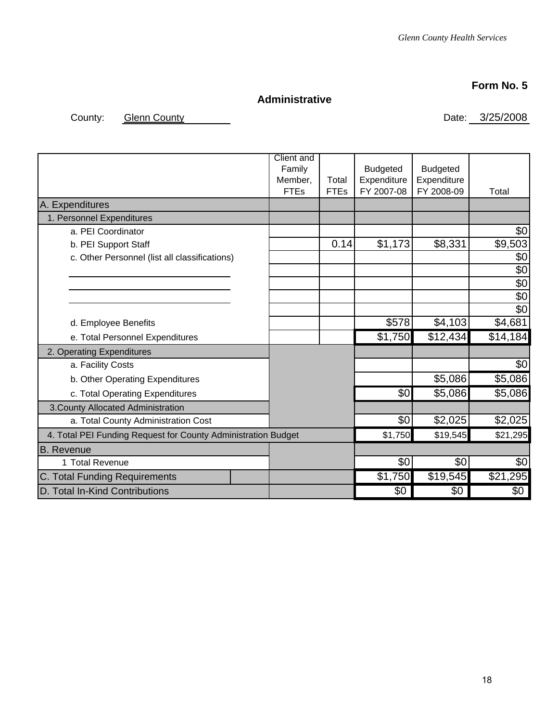# **Form No. 5**

# **Administrative**

County: Glenn County County County Date: 3/25/2008

|                                                               | <b>Client</b> and<br>Family<br>Member,<br><b>FTEs</b> | Total<br><b>FTEs</b> | <b>Budgeted</b><br>Expenditure<br>FY 2007-08 | <b>Budgeted</b><br>Expenditure<br>FY 2008-09 | Total           |
|---------------------------------------------------------------|-------------------------------------------------------|----------------------|----------------------------------------------|----------------------------------------------|-----------------|
| A. Expenditures                                               |                                                       |                      |                                              |                                              |                 |
| 1. Personnel Expenditures                                     |                                                       |                      |                                              |                                              |                 |
| a. PEI Coordinator                                            |                                                       |                      |                                              |                                              | \$0             |
| b. PEI Support Staff                                          |                                                       | 0.14                 | \$1,173                                      | \$8,331                                      | \$9,503         |
| c. Other Personnel (list all classifications)                 |                                                       |                      |                                              |                                              | \$0             |
|                                                               |                                                       |                      |                                              |                                              | $\overline{60}$ |
|                                                               |                                                       |                      |                                              |                                              | $\overline{60}$ |
|                                                               |                                                       |                      |                                              |                                              | $\sqrt[6]{3}$   |
|                                                               |                                                       |                      |                                              |                                              | $\overline{50}$ |
| d. Employee Benefits                                          |                                                       |                      | \$578                                        | \$4,103                                      | \$4,681         |
| e. Total Personnel Expenditures                               |                                                       |                      | \$1,750                                      | \$12,434                                     | \$14,184        |
| 2. Operating Expenditures                                     |                                                       |                      |                                              |                                              |                 |
| a. Facility Costs                                             |                                                       |                      |                                              |                                              | \$0             |
| b. Other Operating Expenditures                               |                                                       |                      |                                              | \$5,086                                      | \$5,086         |
| c. Total Operating Expenditures                               |                                                       |                      | \$0                                          | \$5,086                                      | \$5,086         |
| 3. County Allocated Administration                            |                                                       |                      |                                              |                                              |                 |
| a. Total County Administration Cost                           |                                                       |                      | \$0                                          | \$2,025                                      | \$2,025         |
| 4. Total PEI Funding Request for County Administration Budget |                                                       |                      | \$1,750                                      | \$19,545                                     | \$21,295        |
| <b>B.</b> Revenue                                             |                                                       |                      |                                              |                                              |                 |
| 1 Total Revenue                                               |                                                       |                      | \$0                                          | \$0                                          | \$0             |
| C. Total Funding Requirements                                 |                                                       |                      | \$1,750                                      | \$19,545                                     | \$21,295        |
| D. Total In-Kind Contributions                                |                                                       |                      | \$0                                          | \$0                                          | \$0             |